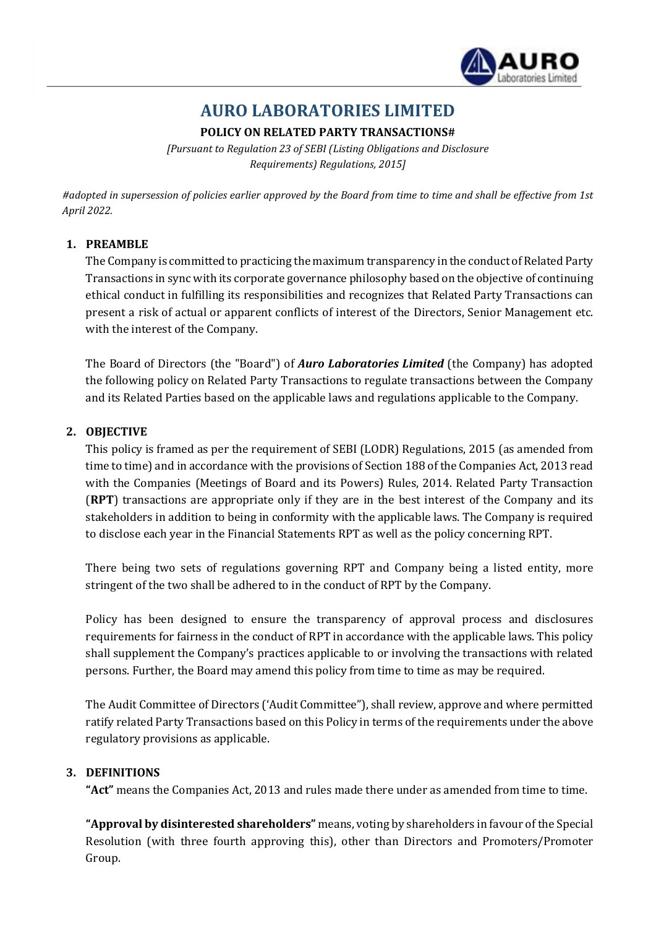

# AURO LABORATORIES LIMITED

## POLICY ON RELATED PARTY TRANSACTIONS#

[Pursuant to Regulation 23 of SEBI (Listing Obligations and Disclosure Requirements) Regulations, 2015]

#adopted in supersession of policies earlier approved by the Board from time to time and shall be effective from 1st April 2022.

## 1. PREAMBLE

The Company is committed to practicing the maximum transparency in the conduct of Related Party Transactions in sync with its corporate governance philosophy based on the objective of continuing ethical conduct in fulfilling its responsibilities and recognizes that Related Party Transactions can present a risk of actual or apparent conflicts of interest of the Directors, Senior Management etc. with the interest of the Company.

The Board of Directors (the "Board") of **Auro Laboratories Limited** (the Company) has adopted the following policy on Related Party Transactions to regulate transactions between the Company and its Related Parties based on the applicable laws and regulations applicable to the Company.

#### 2. OBJECTIVE

This policy is framed as per the requirement of SEBI (LODR) Regulations, 2015 (as amended from time to time) and in accordance with the provisions of Section 188 of the Companies Act, 2013 read with the Companies (Meetings of Board and its Powers) Rules, 2014. Related Party Transaction (RPT) transactions are appropriate only if they are in the best interest of the Company and its stakeholders in addition to being in conformity with the applicable laws. The Company is required to disclose each year in the Financial Statements RPT as well as the policy concerning RPT.

There being two sets of regulations governing RPT and Company being a listed entity, more stringent of the two shall be adhered to in the conduct of RPT by the Company.

Policy has been designed to ensure the transparency of approval process and disclosures requirements for fairness in the conduct of RPT in accordance with the applicable laws. This policy shall supplement the Company's practices applicable to or involving the transactions with related persons. Further, the Board may amend this policy from time to time as may be required.

The Audit Committee of Directors ('Audit Committee"), shall review, approve and where permitted ratify related Party Transactions based on this Policy in terms of the requirements under the above regulatory provisions as applicable.

#### 3. DEFINITIONS

"Act" means the Companies Act, 2013 and rules made there under as amended from time to time.

"Approval by disinterested shareholders" means, voting by shareholders in favour of the Special Resolution (with three fourth approving this), other than Directors and Promoters/Promoter Group.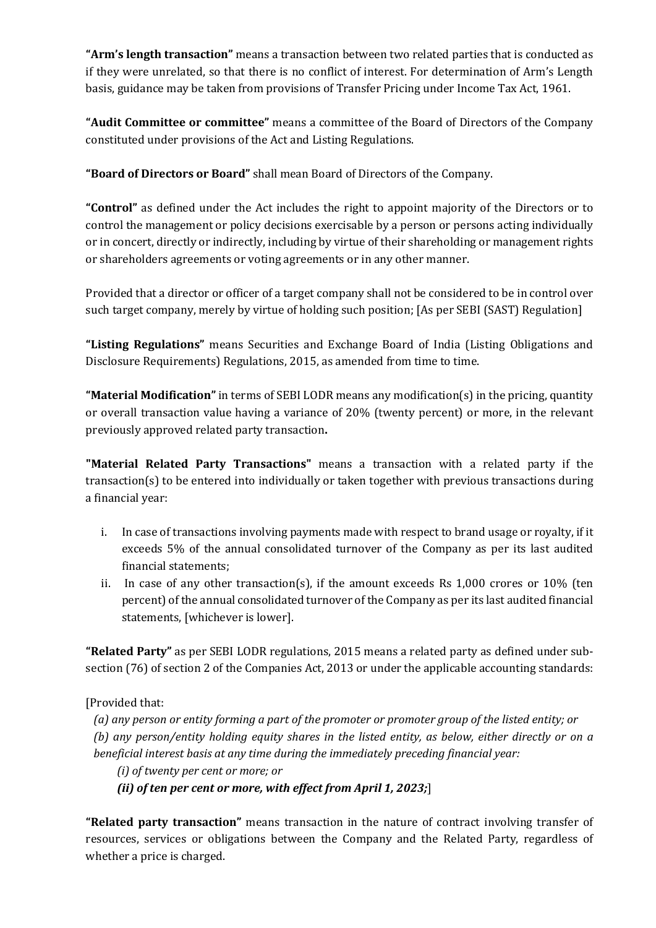"Arm's length transaction" means a transaction between two related parties that is conducted as if they were unrelated, so that there is no conflict of interest. For determination of Arm's Length basis, guidance may be taken from provisions of Transfer Pricing under Income Tax Act, 1961.

"Audit Committee or committee" means a committee of the Board of Directors of the Company constituted under provisions of the Act and Listing Regulations.

"Board of Directors or Board" shall mean Board of Directors of the Company.

"Control" as defined under the Act includes the right to appoint majority of the Directors or to control the management or policy decisions exercisable by a person or persons acting individually or in concert, directly or indirectly, including by virtue of their shareholding or management rights or shareholders agreements or voting agreements or in any other manner.

Provided that a director or officer of a target company shall not be considered to be in control over such target company, merely by virtue of holding such position; [As per SEBI (SAST) Regulation]

"Listing Regulations" means Securities and Exchange Board of India (Listing Obligations and Disclosure Requirements) Regulations, 2015, as amended from time to time.

**"Material Modification"** in terms of SEBI LODR means any modification(s) in the pricing, quantity or overall transaction value having a variance of 20% (twenty percent) or more, in the relevant previously approved related party transaction.

"Material Related Party Transactions" means a transaction with a related party if the transaction(s) to be entered into individually or taken together with previous transactions during a financial year:

- i. In case of transactions involving payments made with respect to brand usage or royalty, if it exceeds 5% of the annual consolidated turnover of the Company as per its last audited financial statements;
- ii. In case of any other transaction(s), if the amount exceeds Rs 1,000 crores or 10% (ten percent) of the annual consolidated turnover of the Company as per its last audited financial statements, [whichever is lower].

"Related Party" as per SEBI LODR regulations, 2015 means a related party as defined under subsection (76) of section 2 of the Companies Act, 2013 or under the applicable accounting standards:

[Provided that:

(a) any person or entity forming a part of the promoter or promoter group of the listed entity; or (b) any person/entity holding equity shares in the listed entity, as below, either directly or on a beneficial interest basis at any time during the immediately preceding financial year:

(i) of twenty per cent or more; or

(ii) of ten per cent or more, with effect from April 1, 2023;

"Related party transaction" means transaction in the nature of contract involving transfer of resources, services or obligations between the Company and the Related Party, regardless of whether a price is charged.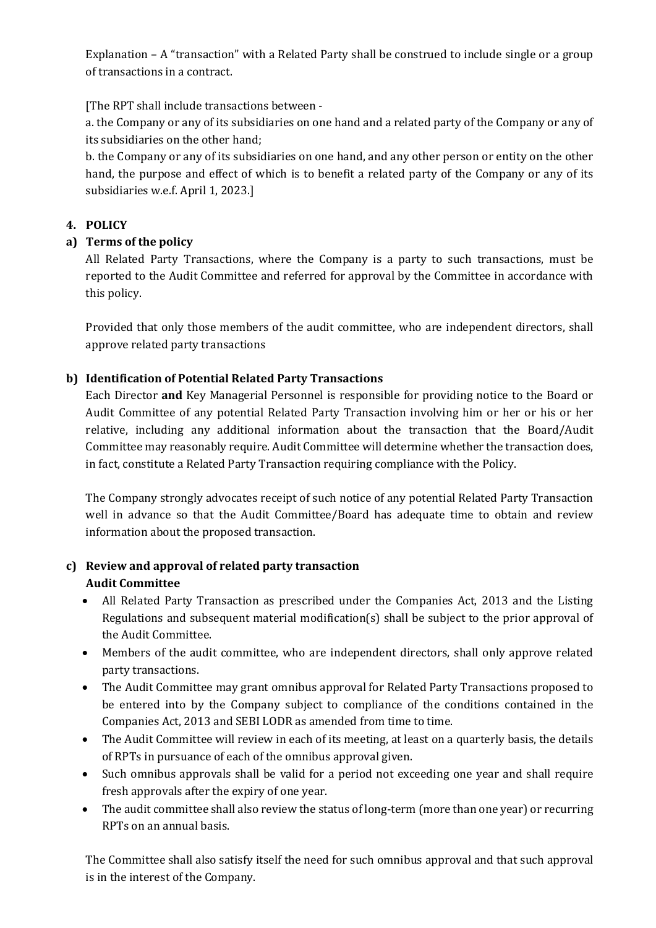Explanation – A "transaction" with a Related Party shall be construed to include single or a group of transactions in a contract.

[The RPT shall include transactions between -

a. the Company or any of its subsidiaries on one hand and a related party of the Company or any of its subsidiaries on the other hand;

b. the Company or any of its subsidiaries on one hand, and any other person or entity on the other hand, the purpose and effect of which is to benefit a related party of the Company or any of its subsidiaries w.e.f. April 1, 2023.]

## 4. POLICY

## a) Terms of the policy

All Related Party Transactions, where the Company is a party to such transactions, must be reported to the Audit Committee and referred for approval by the Committee in accordance with this policy.

Provided that only those members of the audit committee, who are independent directors, shall approve related party transactions

## b) Identification of Potential Related Party Transactions

Each Director and Key Managerial Personnel is responsible for providing notice to the Board or Audit Committee of any potential Related Party Transaction involving him or her or his or her relative, including any additional information about the transaction that the Board/Audit Committee may reasonably require. Audit Committee will determine whether the transaction does, in fact, constitute a Related Party Transaction requiring compliance with the Policy.

The Company strongly advocates receipt of such notice of any potential Related Party Transaction well in advance so that the Audit Committee/Board has adequate time to obtain and review information about the proposed transaction.

## c) Review and approval of related party transaction Audit Committee

- All Related Party Transaction as prescribed under the Companies Act, 2013 and the Listing Regulations and subsequent material modification(s) shall be subject to the prior approval of the Audit Committee.
- Members of the audit committee, who are independent directors, shall only approve related party transactions.
- The Audit Committee may grant omnibus approval for Related Party Transactions proposed to be entered into by the Company subject to compliance of the conditions contained in the Companies Act, 2013 and SEBI LODR as amended from time to time.
- The Audit Committee will review in each of its meeting, at least on a quarterly basis, the details of RPTs in pursuance of each of the omnibus approval given.
- Such omnibus approvals shall be valid for a period not exceeding one year and shall require fresh approvals after the expiry of one year.
- The audit committee shall also review the status of long-term (more than one year) or recurring RPTs on an annual basis.

The Committee shall also satisfy itself the need for such omnibus approval and that such approval is in the interest of the Company.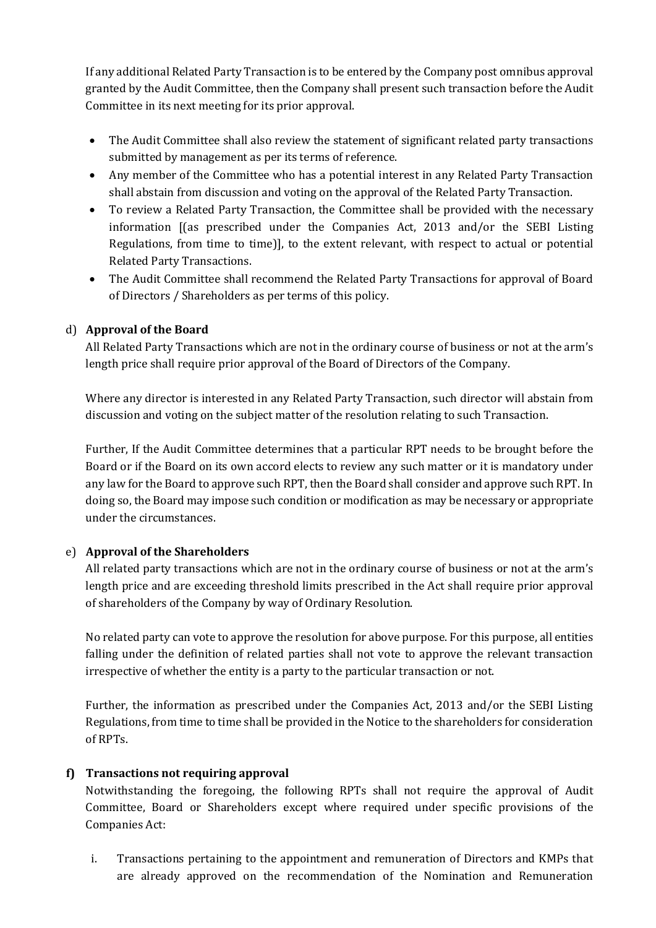If any additional Related Party Transaction is to be entered by the Company post omnibus approval granted by the Audit Committee, then the Company shall present such transaction before the Audit Committee in its next meeting for its prior approval.

- The Audit Committee shall also review the statement of significant related party transactions submitted by management as per its terms of reference.
- Any member of the Committee who has a potential interest in any Related Party Transaction shall abstain from discussion and voting on the approval of the Related Party Transaction.
- To review a Related Party Transaction, the Committee shall be provided with the necessary information [(as prescribed under the Companies Act, 2013 and/or the SEBI Listing Regulations, from time to time)], to the extent relevant, with respect to actual or potential Related Party Transactions.
- The Audit Committee shall recommend the Related Party Transactions for approval of Board of Directors / Shareholders as per terms of this policy.

## d) Approval of the Board

All Related Party Transactions which are not in the ordinary course of business or not at the arm's length price shall require prior approval of the Board of Directors of the Company.

Where any director is interested in any Related Party Transaction, such director will abstain from discussion and voting on the subject matter of the resolution relating to such Transaction.

Further, If the Audit Committee determines that a particular RPT needs to be brought before the Board or if the Board on its own accord elects to review any such matter or it is mandatory under any law for the Board to approve such RPT, then the Board shall consider and approve such RPT. In doing so, the Board may impose such condition or modification as may be necessary or appropriate under the circumstances.

## e) Approval of the Shareholders

All related party transactions which are not in the ordinary course of business or not at the arm's length price and are exceeding threshold limits prescribed in the Act shall require prior approval of shareholders of the Company by way of Ordinary Resolution.

No related party can vote to approve the resolution for above purpose. For this purpose, all entities falling under the definition of related parties shall not vote to approve the relevant transaction irrespective of whether the entity is a party to the particular transaction or not.

Further, the information as prescribed under the Companies Act, 2013 and/or the SEBI Listing Regulations, from time to time shall be provided in the Notice to the shareholders for consideration of RPTs.

## f) Transactions not requiring approval

Notwithstanding the foregoing, the following RPTs shall not require the approval of Audit Committee, Board or Shareholders except where required under specific provisions of the Companies Act:

i. Transactions pertaining to the appointment and remuneration of Directors and KMPs that are already approved on the recommendation of the Nomination and Remuneration